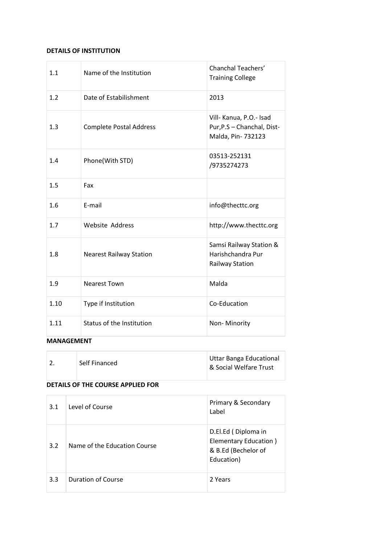#### **DETAILS OF INSTITUTION**

| 1.1  | Name of the Institution        | <b>Chanchal Teachers'</b><br><b>Training College</b>                        |
|------|--------------------------------|-----------------------------------------------------------------------------|
| 1.2  | Date of Estabilishment         | 2013                                                                        |
| 1.3  | <b>Complete Postal Address</b> | Vill- Kanua, P.O.- Isad<br>Pur, P.S - Chanchal, Dist-<br>Malda, Pin- 732123 |
| 1.4  | Phone(With STD)                | 03513-252131<br>/9735274273                                                 |
| 1.5  | Fax                            |                                                                             |
| 1.6  | E-mail                         | info@thecttc.org                                                            |
| 1.7  | <b>Website Address</b>         | http://www.thecttc.org                                                      |
| 1.8  | <b>Nearest Railway Station</b> | Samsi Railway Station &<br>Harishchandra Pur<br><b>Railway Station</b>      |
| 1.9  | <b>Nearest Town</b>            | Malda                                                                       |
| 1.10 | Type if Institution            | Co-Education                                                                |
| 1.11 | Status of the Institution      | Non-Minority                                                                |

#### **MANAGEMENT**

| Self Financed | Uttar Banga Educational<br>  & Social Welfare Trust |
|---------------|-----------------------------------------------------|
|               |                                                     |

### **DETAILS OF THE COURSE APPLIED FOR**

| 3.1 | Level of Course              | Primary & Secondary<br>Label                                                      |
|-----|------------------------------|-----------------------------------------------------------------------------------|
| 3.2 | Name of the Education Course | D.El.Ed (Diploma in<br>Elementary Education)<br>& B.Ed (Bechelor of<br>Education) |
| 3.3 | <b>Duration of Course</b>    | 2 Years                                                                           |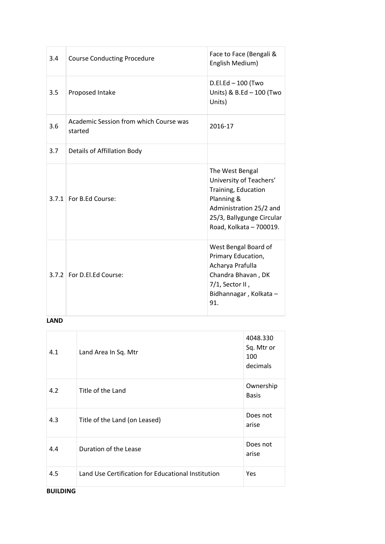| 3.4 | <b>Course Conducting Procedure</b>                | Face to Face (Bengali &<br>English Medium)                                                                                                                         |
|-----|---------------------------------------------------|--------------------------------------------------------------------------------------------------------------------------------------------------------------------|
| 3.5 | Proposed Intake                                   | D.El.Ed - 100 (Two<br>Units) & B.Ed - 100 (Two<br>Units)                                                                                                           |
| 3.6 | Academic Session from which Course was<br>started | 2016-17                                                                                                                                                            |
| 3.7 | Details of Affillation Body                       |                                                                                                                                                                    |
|     | 3.7.1 For B.Ed Course:                            | The West Bengal<br>University of Teachers'<br>Training, Education<br>Planning &<br>Administration 25/2 and<br>25/3, Ballygunge Circular<br>Road, Kolkata - 700019. |
|     | 3.7.2 For D.El.Ed Course:                         | West Bengal Board of<br>Primary Education,<br>Acharya Prafulla<br>Chandra Bhavan, DK<br>7/1, Sector II,<br>Bidhannagar, Kolkata -<br>91.                           |

### **LAND**

| 4.1 | Land Area In Sq. Mtr                               | 4048.330<br>Sq. Mtr or<br>100<br>decimals |
|-----|----------------------------------------------------|-------------------------------------------|
| 4.2 | Title of the Land                                  | Ownership<br><b>Basis</b>                 |
| 4.3 | Title of the Land (on Leased)                      | Does not<br>arise                         |
| 4.4 | Duration of the Lease                              | Does not<br>arise                         |
| 4.5 | Land Use Certification for Educational Institution | Yes                                       |

**BUILDING**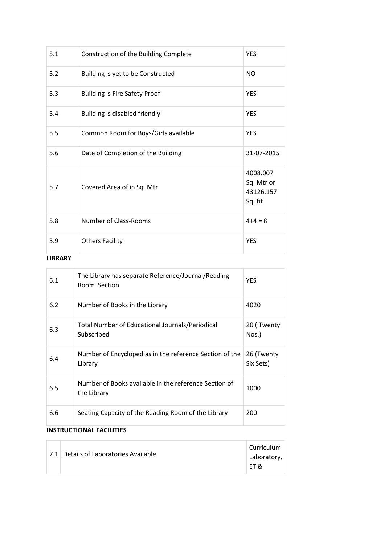| 5.1 | Construction of the Building Complete | <b>YES</b>                                     |
|-----|---------------------------------------|------------------------------------------------|
| 5.2 | Building is yet to be Constructed     | <b>NO</b>                                      |
| 5.3 | <b>Building is Fire Safety Proof</b>  | <b>YES</b>                                     |
| 5.4 | Building is disabled friendly         | <b>YES</b>                                     |
| 5.5 | Common Room for Boys/Girls available  | <b>YES</b>                                     |
| 5.6 | Date of Completion of the Building    | 31-07-2015                                     |
| 5.7 | Covered Area of in Sq. Mtr            | 4008.007<br>Sq. Mtr or<br>43126.157<br>Sq. fit |
| 5.8 | Number of Class-Rooms                 | $4+4=8$                                        |
| 5.9 | <b>Others Facility</b>                | <b>YES</b>                                     |

#### **LIBRARY**

| 6.1 | The Library has separate Reference/Journal/Reading<br>Room Section   | <b>YES</b>              |
|-----|----------------------------------------------------------------------|-------------------------|
| 6.2 | Number of Books in the Library                                       | 4020                    |
| 6.3 | Total Number of Educational Journals/Periodical<br>Subscribed        | 20 (Twenty<br>Nos.)     |
| 6.4 | Number of Encyclopedias in the reference Section of the<br>Library   | 26 (Twenty<br>Six Sets) |
| 6.5 | Number of Books available in the reference Section of<br>the Library | 1000                    |
| 6.6 | Seating Capacity of the Reading Room of the Library                  | 200                     |

# **INSTRUCTIONAL FACILITIES**

÷

|  | 7.1 Details of Laboratories Available | Curriculum<br>Laboratory,<br>ET & |
|--|---------------------------------------|-----------------------------------|
|--|---------------------------------------|-----------------------------------|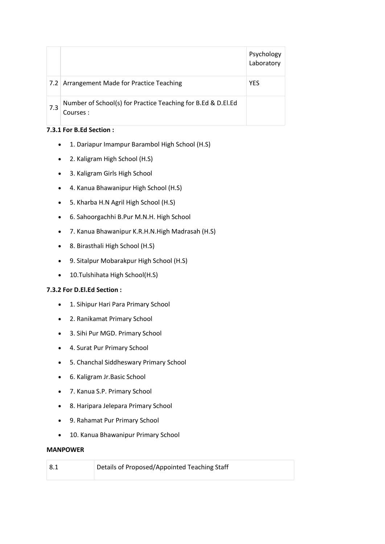|     |                                                                           | Psychology<br>Laboratory |
|-----|---------------------------------------------------------------------------|--------------------------|
| 7.2 | Arrangement Made for Practice Teaching                                    | <b>YES</b>               |
| 7.3 | Number of School(s) for Practice Teaching for B.Ed & D.El.Ed<br>Courses : |                          |

### **7.3.1 For B.Ed Section :**

- 1. Dariapur Imampur Barambol High School (H.S)
- 2. Kaligram High School (H.S)
- 3. Kaligram Girls High School
- 4. Kanua Bhawanipur High School (H.S)
- 5. Kharba H.N Agril High School (H.S)
- 6. Sahoorgachhi B.Pur M.N.H. High School
- 7. Kanua Bhawanipur K.R.H.N.High Madrasah (H.S)
- 8. Birasthali High School (H.S)
- 9. Sitalpur Mobarakpur High School (H.S)
- 10.Tulshihata High School(H.S)

### **7.3.2 For D.El.Ed Section :**

- 1. Sihipur Hari Para Primary School
- 2. Ranikamat Primary School
- 3. Sihi Pur MGD. Primary School
- 4. Surat Pur Primary School
- 5. Chanchal Siddheswary Primary School
- 6. Kaligram Jr.Basic School
- 7. Kanua S.P. Primary School
- 8. Haripara Jelepara Primary School
- 9. Rahamat Pur Primary School
- 10. Kanua Bhawanipur Primary School

#### **MANPOWER**

| 8.1 | Details of Proposed/Appointed Teaching Staff |
|-----|----------------------------------------------|
|     |                                              |